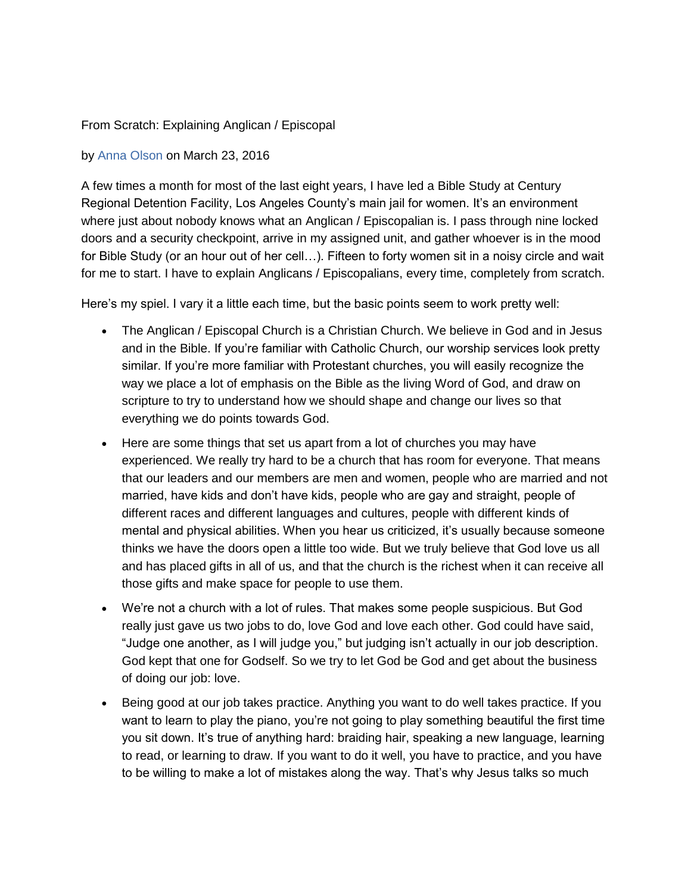## From Scratch: Explaining Anglican / Episcopal

## by [Anna Olson](http://www.ecfvp.org/posts/author/anna-olson) on March 23, 2016

A few times a month for most of the last eight years, I have led a Bible Study at Century Regional Detention Facility, Los Angeles County's main jail for women. It's an environment where just about nobody knows what an Anglican / Episcopalian is. I pass through nine locked doors and a security checkpoint, arrive in my assigned unit, and gather whoever is in the mood for Bible Study (or an hour out of her cell…). Fifteen to forty women sit in a noisy circle and wait for me to start. I have to explain Anglicans / Episcopalians, every time, completely from scratch.

Here's my spiel. I vary it a little each time, but the basic points seem to work pretty well:

- The Anglican / Episcopal Church is a Christian Church. We believe in God and in Jesus and in the Bible. If you're familiar with Catholic Church, our worship services look pretty similar. If you're more familiar with Protestant churches, you will easily recognize the way we place a lot of emphasis on the Bible as the living Word of God, and draw on scripture to try to understand how we should shape and change our lives so that everything we do points towards God.
- Here are some things that set us apart from a lot of churches you may have experienced. We really try hard to be a church that has room for everyone. That means that our leaders and our members are men and women, people who are married and not married, have kids and don't have kids, people who are gay and straight, people of different races and different languages and cultures, people with different kinds of mental and physical abilities. When you hear us criticized, it's usually because someone thinks we have the doors open a little too wide. But we truly believe that God love us all and has placed gifts in all of us, and that the church is the richest when it can receive all those gifts and make space for people to use them.
- We're not a church with a lot of rules. That makes some people suspicious. But God really just gave us two jobs to do, love God and love each other. God could have said, "Judge one another, as I will judge you," but judging isn't actually in our job description. God kept that one for Godself. So we try to let God be God and get about the business of doing our job: love.
- Being good at our job takes practice. Anything you want to do well takes practice. If you want to learn to play the piano, you're not going to play something beautiful the first time you sit down. It's true of anything hard: braiding hair, speaking a new language, learning to read, or learning to draw. If you want to do it well, you have to practice, and you have to be willing to make a lot of mistakes along the way. That's why Jesus talks so much